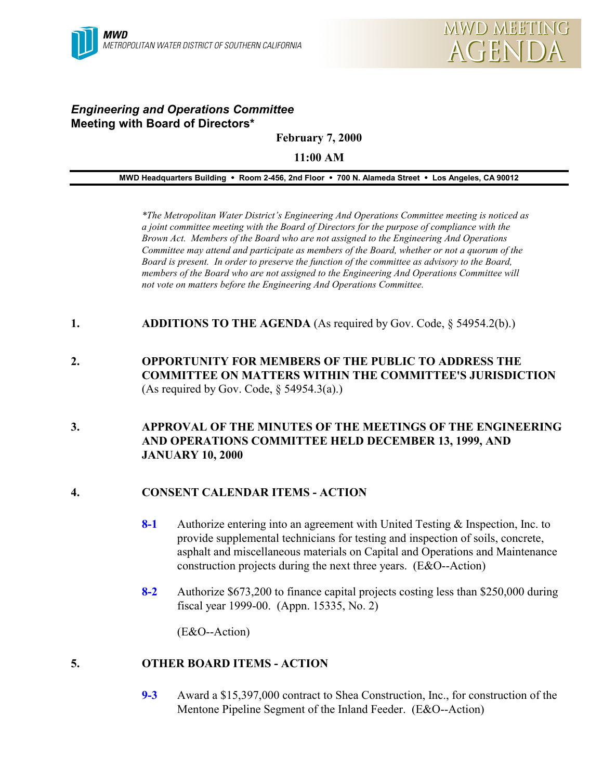# *Engineering and Operations Committee* **Meeting with Board of Directors\***

**February 7, 2000**

**11:00 AM**

**MWD Headquarters Building** ! **Room 2-456, 2nd Floor** ! **700 N. Alameda Street** ! **Los Angeles, CA 90012**

*\*The Metropolitan Water District's Engineering And Operations Committee meeting is noticed as a joint committee meeting with the Board of Directors for the purpose of compliance with the Brown Act. Members of the Board who are not assigned to the Engineering And Operations Committee may attend and participate as members of the Board, whether or not a quorum of the Board is present. In order to preserve the function of the committee as advisory to the Board, members of the Board who are not assigned to the Engineering And Operations Committee will not vote on matters before the Engineering And Operations Committee.*

- **1. ADDITIONS TO THE AGENDA** (As required by Gov. Code, § 54954.2(b).)
- **2. OPPORTUNITY FOR MEMBERS OF THE PUBLIC TO ADDRESS THE COMMITTEE ON MATTERS WITHIN THE COMMITTEE'S JURISDICTION** (As required by Gov. Code,  $\S$  54954.3(a).)

### **3. APPROVAL OF THE MINUTES OF THE MEETINGS OF THE ENGINEERING AND OPERATIONS COMMITTEE HELD DECEMBER 13, 1999, AND JANUARY 10, 2000**

# **4. CONSENT CALENDAR ITEMS - ACTION**

- **8-1** Authorize entering into an agreement with United Testing & Inspection, Inc. to provide supplemental technicians for testing and inspection of soils, concrete, asphalt and miscellaneous materials on Capital and Operations and Maintenance construction projects during the next three years. (E&O--Action)
- **8-2** Authorize \$673,200 to finance capital projects costing less than \$250,000 during fiscal year 1999-00. (Appn. 15335, No. 2)

(E&O--Action)

# **5. OTHER BOARD ITEMS - ACTION**

**9-3** Award a \$15,397,000 contract to Shea Construction, Inc., for construction of the Mentone Pipeline Segment of the Inland Feeder. (E&O--Action)